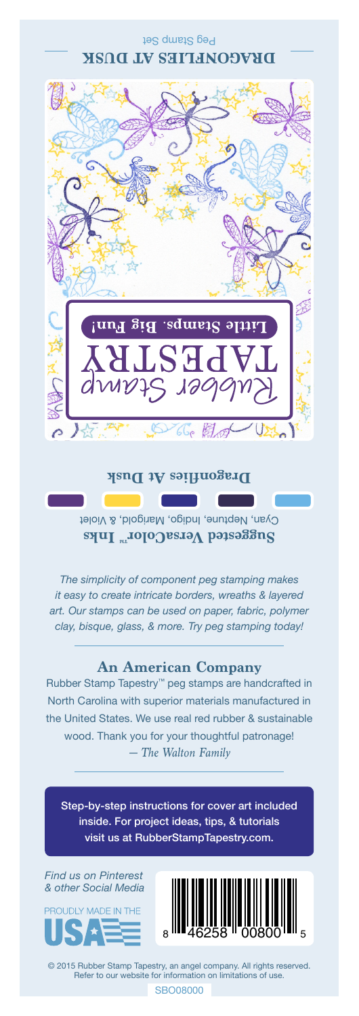Peg Stamp Set **DRAGONFLIES AT DUSK**



## **Dragonflies At Dusk**

Cyan, Neptune, Indigo, Marigold, & Violet **Suggested VersaColor** Inks

*The simplicity of component peg stamping makes it easy to create intricate borders, wreaths & layered art. Our stamps can be used on paper, fabric, polymer clay, bisque, glass, & more. Try peg stamping today!*

## **An American Company**

*— The Walton Family* Rubber Stamp Tapestry™ peg stamps are handcrafted in North Carolina with superior materials manufactured in the United States. We use real red rubber & sustainable wood. Thank you for your thoughtful patronage!

Step-by-step instructions for cover art included inside. For project ideas, tips, & tutorials visit us at RubberStampTapestry.com.

*Find us on Pinterest & other Social Media*





© 2015 Rubber Stamp Tapestry, an angel company. All rights reserved. Refer to our website for information on limitations of use.